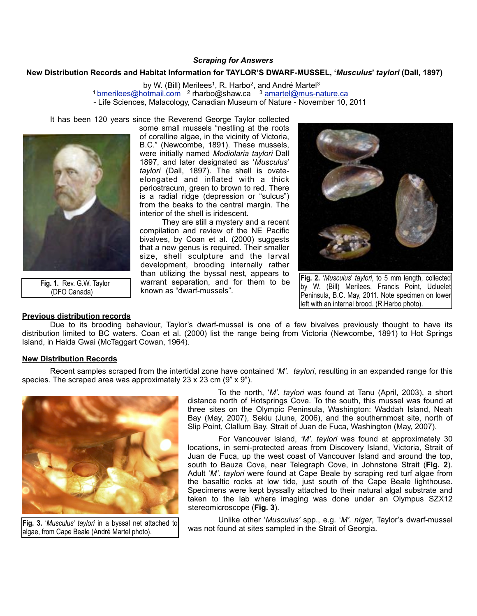### *Scraping for Answers*

#### **New Distribution Records and Habitat Information for TAYLOR'S DWARF-MUSSEL, '***Musculus***'** *taylori* **(Dall, 1897)**

by W. (Bill) Merilees<sup>1</sup>, R. Harbo<sup>2</sup>, and André Martel<sup>3</sup> <sup>1</sup> [bmerilees@hotmail.com](mailto:bmerilees@hotmail.com) <sup>2</sup> rharbo@shaw.ca <sup>3</sup> [amartel@mus-nature.ca](mailto:amartel@mus-nature.ca) - Life Sciences, Malacology, Canadian Museum of Nature - November 10, 2011

It has been 120 years since the Reverend George Taylor collected



 **Fig. 1.** Rev. G.W. Taylor (DFO Canada)

## **Previous distribution records**

some small mussels "nestling at the roots of coralline algae, in the vicinity of Victoria, B.C." (Newcombe, 1891). These mussels, were initially named *Modiolaria taylori* Dall 1897, and later designated as '*Musculus*' *taylori* (Dall, 1897). The shell is ovateelongated and inflated with a thick periostracum, green to brown to red. There is a radial ridge (depression or "sulcus") from the beaks to the central margin. The interior of the shell is iridescent.

 They are still a mystery and a recent compilation and review of the NE Pacific bivalves, by Coan et al. (2000) suggests that a new genus is required. Their smaller size, shell sculpture and the larval development, brooding internally rather than utilizing the byssal nest, appears to warrant separation, and for them to be known as "dwarf-mussels".



**Fig. 2.** '*Musculus*' *taylori*, to 5 mm length, collected by W. (Bill) Merilees, Francis Point, Ucluelet Peninsula, B.C. May, 2011. Note specimen on lower left with an internal brood. (R.Harbo photo).

 Due to its brooding behaviour, Taylor's dwarf-mussel is one of a few bivalves previously thought to have its distribution limited to BC waters. Coan et al. (2000) list the range being from Victoria (Newcombe, 1891) to Hot Springs Island, in Haida Gwai (McTaggart Cowan, 1964).

### **New Distribution Records**

 Recent samples scraped from the intertidal zone have contained '*M'. taylori*, resulting in an expanded range for this species. The scraped area was approximately 23 x 23 cm (9" x 9").



**Fig. 3.** '*Musculus' taylori* in a byssal net attached to algae, from Cape Beale (André Martel photo).

 To the north, '*M'. taylori* was found at Tanu (April, 2003), a short distance north of Hotsprings Cove. To the south, this mussel was found at three sites on the Olympic Peninsula, Washington: Waddah Island, Neah Bay (May, 2007), Sekiu (June, 2006), and the southernmost site, north of Slip Point, Clallum Bay, Strait of Juan de Fuca, Washington (May, 2007).

 For Vancouver Island, *'M'. taylori* was found at approximately 30 locations, in semi-protected areas from Discovery Island, Victoria, Strait of Juan de Fuca, up the west coast of Vancouver Island and around the top, south to Bauza Cove, near Telegraph Cove, in Johnstone Strait (**Fig. 2**). Adult '*M'. taylori* were found at Cape Beale by scraping red turf algae from the basaltic rocks at low tide, just south of the Cape Beale lighthouse. Specimens were kept byssally attached to their natural algal substrate and taken to the lab where imaging was done under an Olympus SZX12 stereomicroscope (**Fig. 3**).

 Unlike other '*Musculus'* spp., e.g. '*M'. niger*, Taylor's dwarf-mussel was not found at sites sampled in the Strait of Georgia.